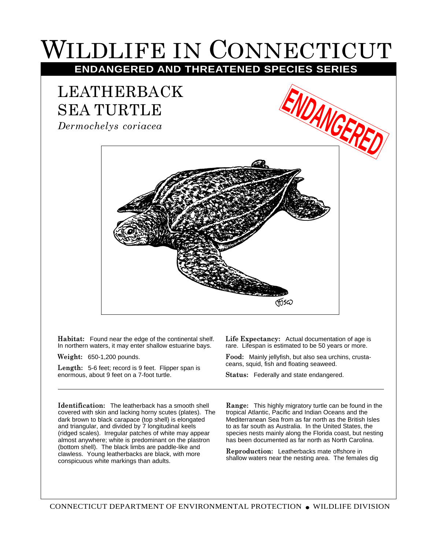## WILDLIFE IN CONNECTICUT

## **ENDANGERED AND THREATENED SPECIES SERIES**

## LEATHERBACK SEA TURTLE

*Dermochelys coriacea*



**Habitat:** Found near the edge of the continental shelf. In northern waters, it may enter shallow estuarine bays.

**Weight:** 650-1,200 pounds.

**Length:** 5-6 feet; record is 9 feet. Flipper span is enormous, about 9 feet on a 7-foot turtle.

**Identification:** The leatherback has a smooth shell covered with skin and lacking horny scutes (plates). The dark brown to black carapace (top shell) is elongated and triangular, and divided by 7 longitudinal keels (ridged scales). Irregular patches of white may appear almost anywhere; white is predominant on the plastron (bottom shell). The black limbs are paddle-like and clawless. Young leatherbacks are black, with more conspicuous white markings than adults.

**Life Expectancy:** Actual documentation of age is rare. Lifespan is estimated to be 50 years or more.

**Food:** Mainly jellyfish, but also sea urchins, crustaceans, squid, fish and floating seaweed.

**Status:** Federally and state endangered.

**Range:** This highly migratory turtle can be found in the tropical Atlantic, Pacific and Indian Oceans and the Mediterranean Sea from as far north as the British Isles to as far south as Australia. In the United States, the species nests mainly along the Florida coast, but nesting has been documented as far north as North Carolina.

**Reproduction:** Leatherbacks mate offshore in shallow waters near the nesting area. The females dig